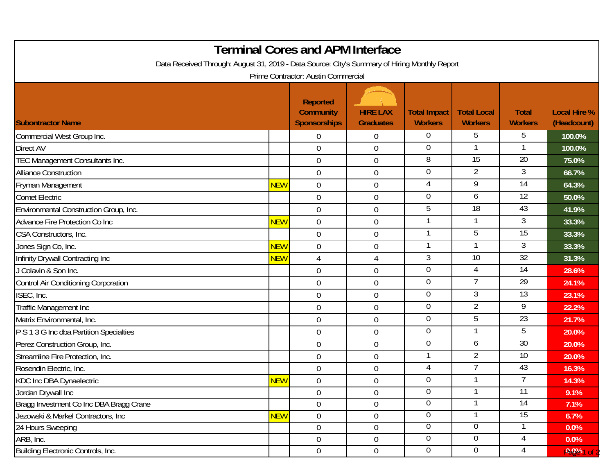| <b>Terminal Cores and APM Interface</b><br>Data Received Through: August 31, 2019 - Data Source: City's Summary of Hiring Monthly Report<br>Prime Contractor: Austin Commercial |            |                                                            |                                     |                                       |                                      |                                |                                    |  |  |  |  |
|---------------------------------------------------------------------------------------------------------------------------------------------------------------------------------|------------|------------------------------------------------------------|-------------------------------------|---------------------------------------|--------------------------------------|--------------------------------|------------------------------------|--|--|--|--|
| <b>Subontractor Name</b>                                                                                                                                                        |            | <b>Reported</b><br><b>Community</b><br><b>Sponsorships</b> | <b>HIRE LAX</b><br><b>Graduates</b> | <b>Total Impact</b><br><b>Workers</b> | <b>Total Local</b><br><b>Workers</b> | <b>Total</b><br><b>Workers</b> | <b>Local Hire %</b><br>(Headcount) |  |  |  |  |
| Commercial West Group Inc.                                                                                                                                                      |            | $\Omega$                                                   | $\overline{0}$                      | $\Omega$                              | 5                                    | 5                              | 100.0%                             |  |  |  |  |
| <b>Direct AV</b>                                                                                                                                                                |            | $\mathbf 0$                                                | $\boldsymbol{0}$                    | 0                                     |                                      |                                | 100.0%                             |  |  |  |  |
| TEC Management Consultants Inc.                                                                                                                                                 |            | $\overline{0}$                                             | $\boldsymbol{0}$                    | 8                                     | $\overline{15}$                      | $\overline{20}$                | 75.0%                              |  |  |  |  |
| <b>Alliance Construction</b>                                                                                                                                                    |            | $\overline{0}$                                             | $\mathbf 0$                         | $\Omega$                              | $\overline{2}$                       | 3                              | 66.7%                              |  |  |  |  |
| Fryman Management                                                                                                                                                               | <b>NEW</b> | $\overline{0}$                                             | $\boldsymbol{0}$                    | 4                                     | 9                                    | 14                             | 64.3%                              |  |  |  |  |
| <b>Comet Electric</b>                                                                                                                                                           |            | $\boldsymbol{0}$                                           | $\mathbf 0$                         | $\overline{0}$                        | 6                                    | $\overline{12}$                | 50.0%                              |  |  |  |  |
| Environmental Construction Group, Inc.                                                                                                                                          |            | $\mathbf 0$                                                | $\boldsymbol{0}$                    | 5                                     | 18                                   | 43                             | 41.9%                              |  |  |  |  |
| Advance Fire Protection Co Inc                                                                                                                                                  | <b>NEW</b> | $\mathbf 0$                                                | $\mathbf 0$                         |                                       |                                      | 3                              | 33.3%                              |  |  |  |  |
| CSA Constructors, Inc.                                                                                                                                                          |            | $\mathbf 0$                                                | $\boldsymbol{0}$                    |                                       | 5                                    | $\overline{15}$                | 33.3%                              |  |  |  |  |
| Jones Sign Co, Inc.                                                                                                                                                             | <b>NEW</b> | $\mathbf 0$                                                | $\boldsymbol{0}$                    |                                       |                                      | 3                              | 33.3%                              |  |  |  |  |
| Infinity Drywall Contracting Inc                                                                                                                                                | <b>NEW</b> | 4                                                          | $\overline{4}$                      | 3                                     | 10                                   | $\overline{32}$                | 31.3%                              |  |  |  |  |
| J Colavin & Son Inc.                                                                                                                                                            |            | $\mathbf 0$                                                | $\boldsymbol{0}$                    | $\overline{0}$                        | $\overline{4}$                       | 14                             | 28.6%                              |  |  |  |  |
| Control Air Conditioning Corporation                                                                                                                                            |            | $\mathbf 0$                                                | $\mathbf 0$                         | $\overline{0}$                        | $\overline{7}$                       | 29                             | 24.1%                              |  |  |  |  |
| ISEC, Inc.                                                                                                                                                                      |            | $\boldsymbol{0}$                                           | $\mathbf 0$                         | 0                                     | 3                                    | 13                             | 23.1%                              |  |  |  |  |
| <b>Traffic Management Inc</b>                                                                                                                                                   |            | $\mathbf 0$                                                | $\boldsymbol{0}$                    | 0                                     | $\overline{2}$                       | 9                              | 22.2%                              |  |  |  |  |
| Matrix Environmental, Inc.                                                                                                                                                      |            | $\overline{0}$                                             | $\mathbf 0$                         | $\overline{0}$                        | 5                                    | $\overline{23}$                | 21.7%                              |  |  |  |  |
| P S 1 3 G Inc dba Partition Specialties                                                                                                                                         |            | $\mathbf 0$                                                | $\boldsymbol{0}$                    | $\Omega$                              |                                      | 5                              | 20.0%                              |  |  |  |  |
| Perez Construction Group, Inc.                                                                                                                                                  |            | $\mathbf 0$                                                | $\boldsymbol{0}$                    | $\overline{0}$                        | 6                                    | $\overline{30}$                | 20.0%                              |  |  |  |  |
| Streamline Fire Protection, Inc.                                                                                                                                                |            | $\mathbf 0$                                                | $\mathbf 0$                         | 1                                     | $\overline{2}$                       | 10                             | 20.0%                              |  |  |  |  |
| Rosendin Electric, Inc.                                                                                                                                                         |            | $\mathbf 0$                                                | $\boldsymbol{0}$                    | 4                                     |                                      | 43                             | 16.3%                              |  |  |  |  |
| KDC Inc DBA Dynaelectric                                                                                                                                                        | <b>NEW</b> | $\mathbf 0$                                                | $\mathbf 0$                         | 0                                     |                                      | 7                              | 14.3%                              |  |  |  |  |
| Jordan Drywall Inc                                                                                                                                                              |            | $\overline{0}$                                             | $\boldsymbol{0}$                    | 0                                     |                                      | 11                             | 9.1%                               |  |  |  |  |
| Bragg Investment Co Inc DBA Bragg Crane                                                                                                                                         |            | $\overline{0}$                                             | $\boldsymbol{0}$                    | 0                                     |                                      | 14                             | 7.1%                               |  |  |  |  |
| Jezowski & Markel Contractors, Inc                                                                                                                                              | <b>NEW</b> | $0\,$                                                      | $\boldsymbol{0}$                    | $\overline{0}$                        |                                      | 15                             | 6.7%                               |  |  |  |  |
| 24 Hours Sweeping                                                                                                                                                               |            | $\overline{0}$                                             | $\boldsymbol{0}$                    | $\overline{0}$                        | $\overline{0}$                       |                                | 0.0%                               |  |  |  |  |
| ARB, Inc.                                                                                                                                                                       |            | $\overline{0}$                                             | $\boldsymbol{0}$                    | 0                                     | $\overline{0}$                       | 4                              | 0.0%                               |  |  |  |  |
| <b>Building Electronic Controls, Inc.</b>                                                                                                                                       |            | $\overline{0}$                                             | $\boldsymbol{0}$                    | $\overline{0}$                        | $\overline{0}$                       | 4                              | <b>0.0%1 of</b>                    |  |  |  |  |